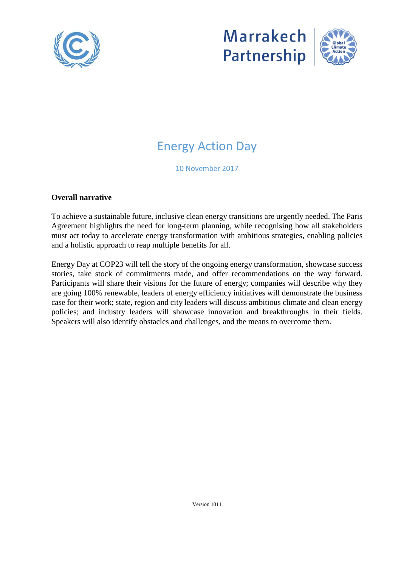





# Energy Action Day

10 November 2017

#### **Overall narrative**

To achieve a sustainable future, inclusive clean energy transitions are urgently needed. The Paris Agreement highlights the need for long-term planning, while recognising how all stakeholders must act today to accelerate energy transformation with ambitious strategies, enabling policies and a holistic approach to reap multiple benefits for all.

Energy Day at COP23 will tell the story of the ongoing energy transformation, showcase success stories, take stock of commitments made, and offer recommendations on the way forward. Participants will share their visions for the future of energy; companies will describe why they are going 100% renewable, leaders of energy efficiency initiatives will demonstrate the business case for their work; state, region and city leaders will discuss ambitious climate and clean energy policies; and industry leaders will showcase innovation and breakthroughs in their fields. Speakers will also identify obstacles and challenges, and the means to overcome them.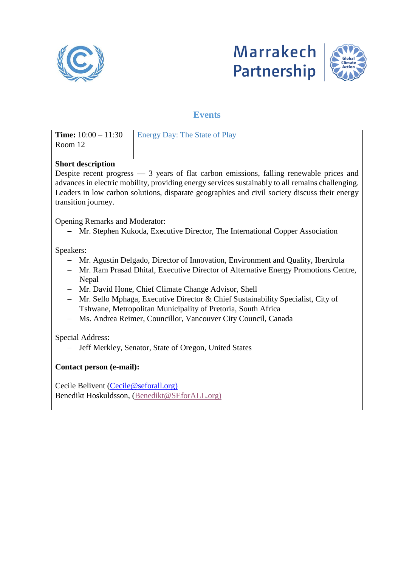





## **Events**

| <b>Time:</b> $10:00 - 11:30$                                                                                         | <b>Energy Day: The State of Play</b> |  |
|----------------------------------------------------------------------------------------------------------------------|--------------------------------------|--|
| Room 12                                                                                                              |                                      |  |
|                                                                                                                      |                                      |  |
| <b>Short description</b>                                                                                             |                                      |  |
| Despite recent progress - 3 years of flat carbon emissions, falling renewable prices and                             |                                      |  |
| advances in electric mobility, providing energy services sustainably to all remains challenging.                     |                                      |  |
| Leaders in low carbon solutions, disparate geographies and civil society discuss their energy<br>transition journey. |                                      |  |
|                                                                                                                      |                                      |  |
| <b>Opening Remarks and Moderator:</b>                                                                                |                                      |  |
| Mr. Stephen Kukoda, Executive Director, The International Copper Association                                         |                                      |  |
|                                                                                                                      |                                      |  |
| Speakers:                                                                                                            |                                      |  |
| Mr. Agustin Delgado, Director of Innovation, Environment and Quality, Iberdrola                                      |                                      |  |
| Mr. Ram Prasad Dhital, Executive Director of Alternative Energy Promotions Centre,                                   |                                      |  |
| Nepal<br>Mr. David Hone, Chief Climate Change Advisor, Shell                                                         |                                      |  |
| Mr. Sello Mphaga, Executive Director & Chief Sustainability Specialist, City of                                      |                                      |  |
| Tshwane, Metropolitan Municipality of Pretoria, South Africa                                                         |                                      |  |
| Ms. Andrea Reimer, Councillor, Vancouver City Council, Canada                                                        |                                      |  |
|                                                                                                                      |                                      |  |
| Special Address:                                                                                                     |                                      |  |
| Jeff Merkley, Senator, State of Oregon, United States                                                                |                                      |  |
|                                                                                                                      |                                      |  |
| Contact person (e-mail):                                                                                             |                                      |  |
|                                                                                                                      |                                      |  |
| Cecile Belivent (Cecile@seforall.org)                                                                                |                                      |  |
| Benedikt Hoskuldsson, (Benedikt@SEforALL.org)                                                                        |                                      |  |
|                                                                                                                      |                                      |  |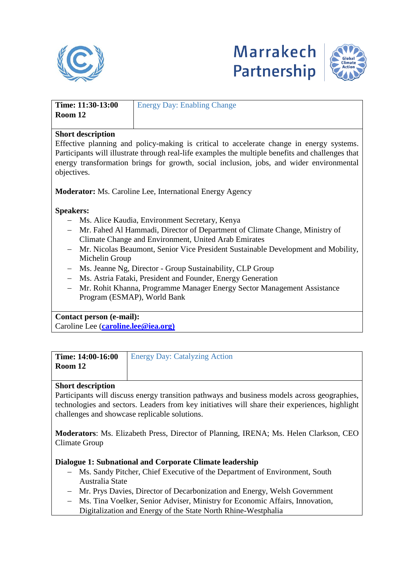





| Time: 11:30-13:00 | <b>Energy Day: Enabling Change</b> |
|-------------------|------------------------------------|
| Room 12           |                                    |
|                   |                                    |

#### **Short description**

Effective planning and policy-making is critical to accelerate change in energy systems. Participants will illustrate through real-life examples the multiple benefits and challenges that energy transformation brings for growth, social inclusion, jobs, and wider environmental objectives.

**Moderator:** Ms. Caroline Lee, International Energy Agency

#### **Speakers:**

- Ms. Alice Kaudia, Environment Secretary, Kenya
- Mr. Fahed Al Hammadi, Director of Department of Climate Change, Ministry of Climate Change and Environment, United Arab Emirates
- Mr. Nicolas Beaumont, Senior Vice President Sustainable Development and Mobility, Michelin Group
- Ms. Jeanne Ng, Director Group Sustainability, CLP Group
- Ms. Astria Fataki, President and Founder, Energy Generation
- Mr. Rohit Khanna, Programme Manager Energy Sector Management Assistance Program (ESMAP), World Bank

#### **Contact person (e-mail):**

Caroline Lee (**[caroline.lee@iea.org\)](mailto:caroline.lee@iea.org)**

| Time: 14:00-16:00 | <b>Energy Day: Catalyzing Action</b> |
|-------------------|--------------------------------------|
| Room 12           |                                      |

#### **Short description**

Participants will discuss energy transition pathways and business models across geographies, technologies and sectors. Leaders from key initiatives will share their experiences, highlight challenges and showcase replicable solutions.

**Moderators**: Ms. Elizabeth Press, Director of Planning, IRENA; Ms. Helen Clarkson, CEO Climate Group

#### **Dialogue 1: Subnational and Corporate Climate leadership**

- Ms. Sandy Pitcher, Chief Executive of the Department of Environment, South Australia State
- Mr. Prys Davies, Director of Decarbonization and Energy, Welsh Government
- Ms. Tina Voelker, Senior Adviser, Ministry for Economic Affairs, Innovation, Digitalization and Energy of the State North Rhine-Westphalia